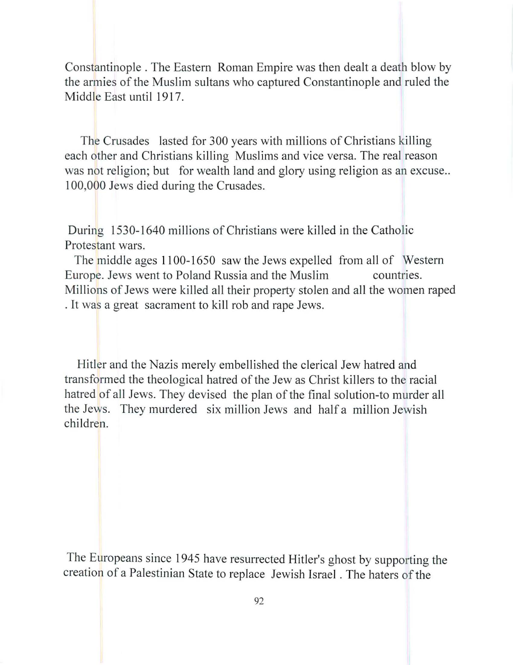Constantinople. The Eastern Roman Empire was then dealt a death blow by the armies of the Muslim sultans who captured Constantinople and ruled the Middle East until 1917.

The Crusades lasted for 300 years with millions of Christians killing each other and Christians killing Muslims and vice versa. The real reason was not religion; but for wealth land and glory using religion as an excuse... 100,000 Jews died during the Crusades.

During 1530-1640 millions of Christians were killed in the Catholic Protestant wars.

The middle ages 1100-1650 saw the Jews expelled from all of Western Europe. Jews went to Poland Russia and the Muslim countries. Millions of Jews were killed all their property stolen and all the women raped . It was a great sacrament to kill rob and rape Jews.

Hitler and the Nazis merely embellished the clerical Jew hatred and transformed the theological hatred of the Jew as Christ killers to the racial hatred of all Jews. They devised the plan of the final solution-to murder all the Jews. They murdered six million Jews and half a million Jewish children.

The Europeans since 1945 have resurrected Hitler's ghost by supporting the creation of a Palestinian State to replace Jewish Israel. The haters of the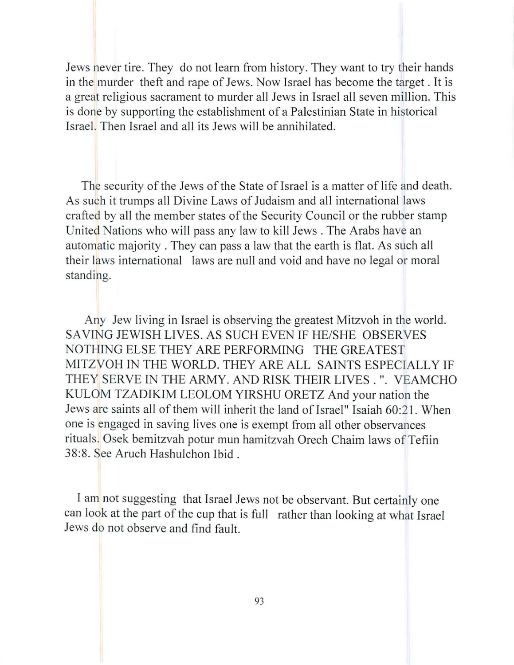Jews never tire. They do not learn from history. They want to try their hands in the murder theft and rape of Jews. Now Israel has become the target. It is a great religious sacrament to murder all Jews in Israel all seven million. This is done by supporting the establishment of a Palestinian State in historical Israel. Then Israel and all its Jews will be annihilated.

The security of the Jews of the State of Israel is a matter of life and death. As such it trumps all Divine Laws of Judaism and all international laws crafted by all the member states of the Security Council or the rubber stamp United Nations who will pass any law to kill Jews. The Arabs have an automatic majority. They can pass a law that the earth is flat. As such all their laws international laws are null and void and have no legal or moral standing.

Any Jew living in Israel is observing the greatest Mitzvoh in the world. SAVING JEWISH LIVES. AS SUCH EVEN IF HE/SHE OBSERVES NOTHING ELSE THEY ARE PERFORMING THE GREATEST MITZVOH IN THE WORLD. THEY ARE ALL SAINTS ESPECIALLY **IF**  THEY SERVE IN THE ARMY. AND RISK THEIR LIVES . ". VEAMCHO KULOM TZADIKIM LEOLOM YIRSHU ORETZ And your nation the Jews are saints all of them will inherit the land of Israel" Isaiah 60:21. When one is engaged in saving lives one is exempt from all other observances rituals. Osek bemitzvah potur mun hamitzvah Orech Chaim laws of Tefiin 38:8. See Aruch Hashulchon Ibid.

I am not suggesting that Israel Jews not be observant. But certainly one can look at the part of the cup that is full rather than looking at what Israel Jews do not observe and find fault.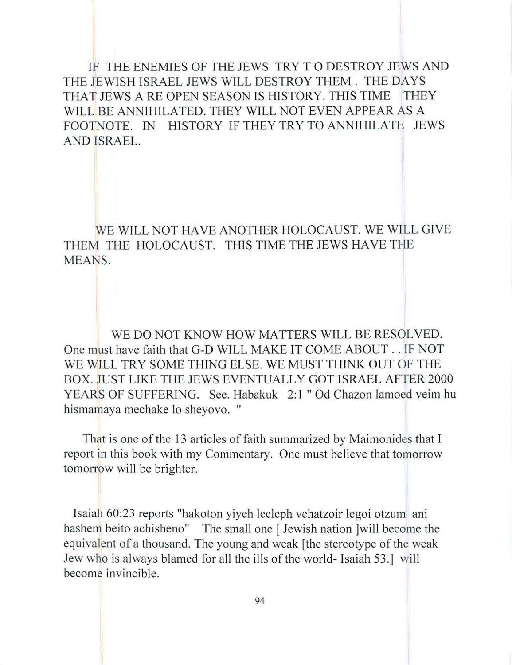IF THE ENEMIES OF THE JEWS TRY T 0 DESTROY JEWS AND THE JEWISH ISRAEL JEWS WILL DESTROY THEM. THE DAYS THAT JEWS A RE OPEN SEASON IS HISTORY. THIS TIME THEY WILL BE ANNIHILATED. THEY WILL NOT EVEN APPEAR AS A FOOTNOTE. IN HISTORY IF THEY TRY TO ANNIHILATE JEWS AND ISRAEL.

WE WILL NOT HA VE ANOTHER HOLOCAUST. WE WILL GIVE THEM THE HOLOCAUST. THIS TIME THE JEWS HAVE THE MEANS.

WE DO NOT KNOW HOW MATTERS WILL BE RESOLVED. One must have faith that G-D WILL MAKE IT COME ABOUT .. IF NOT WE WILL TRY SOME THING ELSE. WE MUST THINK OUT OF THE BOX. JUST LIKE THE JEWS EVENTUALLY GOT ISRAEL AFTER 2000 YEARS OF SUFFERING. See. Habakuk 2:1 " Od Chazon lamoed veim hu hismamaya mechake 10 sheyovo. "

That is one of the 13 articles of faith summarized by Maimonides that I report in this book with my Commentary. One must believe that tomorrow tomorrow will be brighter.

Isaiah 60:23 reports "hakoton yiyeh leeleph vehatzoir legoi otzum ani hashem beito achisheno" The small one [Jewish nation ] will become the equivalent of a thousand. The young and weak [the stereotype of the weak Jew who is always blamed for all the ills of the world- Isaiah 53.] will become invincible.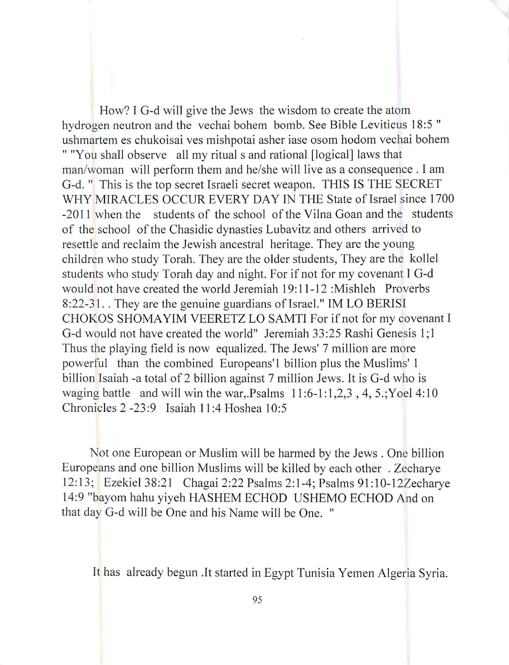How? I G-d will give the Jews the wisdom to create the atom hydrogen neutron and the vechai bohem bomb. See Bible Leviticus 18:5 " ushmartem es chukoisai ves mishpotai asher iase osom hodom vechai bohem " "You shall observe all my ritual s and rational [logical] laws that man/woman will perform them and he/she will live as a consequence. I am G-d. " This is the top secret Israeli secret weapon. THIS IS THE SECRET WHY MIRACLES OCCUR EVERY DAY IN THE State of Israel since 1700 -2011 when the students of the school of the Vilna Goan and the students of the school of the Chasidic dynasties Lubavitz and others arrived to resettle and reclaim the Jewish ancestral heritage. They are the young children who study Torah. They are the older students, They are the kollel students who study Torah day and night. For if not for my covenant I G-d would not have created the world Jeremiah 19: 11-12 :Mishleh Proverbs 8:22-31. They are the genuine guardians of Israel." IM LO BERISI CHOKOS SHOMA YIM VEERETZ LO SAMTI For if not for my covenant I G-d would not have created the world" Jeremiah 33 :25 Rashi Genesis 1; 1 Thus the playing field is now equalized. The Jews' 7 million are more powerful than the combined Europeans'l billion plus the Muslims' 1 billion Isaiah -a total of 2 billion against 7 million Jews. It is G-d who is waging battle and will win the war, Psalms  $11:6-1:1,2,3$ ,  $4, 5$ ; Yoel  $4:10$ Chronicles 2 -23:9 Isaiah 11:4 Hoshea 10:5

Not one European or Muslim will be harmed by the Jews. One billion Europeans and one billion Muslims will be killed by each other . Zecharye 12: 13; Ezekiel 38:21 Chagai 2:22 Psalms 2: 1-4; Psalms 91: 1 0-12Zecharye 14:9 "bayom hahu yiyeh HASHEM ECHOD USHEMO ECHOD And on that day G-d will be One and his Name will be One. "

It has already begun .It started in Egypt Tunisia Yemen Algeria Syria.